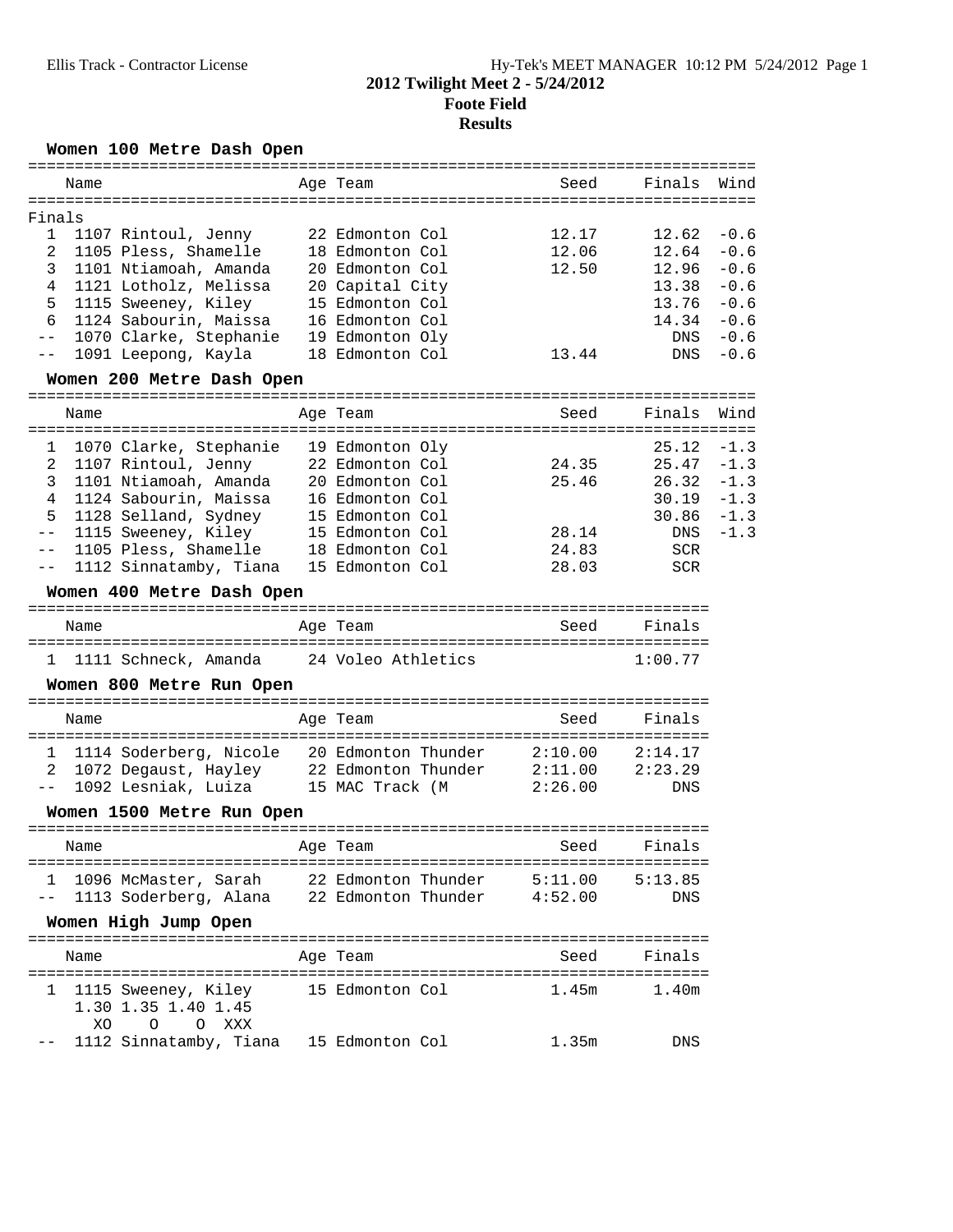## **Women 100 Metre Dash Open**

|              | Name                                                                                                       | Age Team        | Seed               | Finals     | Wind   |
|--------------|------------------------------------------------------------------------------------------------------------|-----------------|--------------------|------------|--------|
| Finals       |                                                                                                            |                 |                    |            |        |
| $\mathbf{1}$ | 1107 Rintoul, Jenny                                                                                        | 22 Edmonton Col | 12.17              | 12.62      | $-0.6$ |
| 2            | 1105 Pless, Shamelle                                                                                       | 18 Edmonton Col | 12.06              | 12.64      | $-0.6$ |
| 3            | 1101 Ntiamoah, Amanda                                                                                      | 20 Edmonton Col | 12.50              | 12.96      | $-0.6$ |
| 4            | 1121 Lotholz, Melissa                                                                                      | 20 Capital City |                    | 13.38      | $-0.6$ |
| 5            | 1115 Sweeney, Kiley                                                                                        | 15 Edmonton Col |                    | 13.76      | $-0.6$ |
| 6            | 1124 Sabourin, Maissa                                                                                      | 16 Edmonton Col |                    | 14.34      | $-0.6$ |
| $- -$        | 1070 Clarke, Stephanie                                                                                     | 19 Edmonton Oly |                    | DNS        | $-0.6$ |
| $ -$         | 1091 Leepong, Kayla                                                                                        | 18 Edmonton Col | 13.44              | DNS        | $-0.6$ |
|              | Women 200 Metre Dash Open                                                                                  |                 |                    |            |        |
|              | Name                                                                                                       | Age Team        | Seed               | Finals     | Wind   |
| ı            | 1070 Clarke, Stephanie 19 Edmonton Oly                                                                     |                 |                    | 25.12      | $-1.3$ |
| 2            | 1107 Rintoul, Jenny 22 Edmonton Col                                                                        |                 | 24.35              | 25.47      | $-1.3$ |
| 3            | 1101 Ntiamoah, Amanda 20 Edmonton Col                                                                      |                 | 25.46              | 26.32      | $-1.3$ |
| 4            | 1124 Sabourin, Maissa                                                                                      | 16 Edmonton Col |                    | 30.19      | $-1.3$ |
| 5            |                                                                                                            |                 |                    | 30.86      | $-1.3$ |
| $- -$        | 1128 Selland, Sydney 15 Edmonton Col<br>1115 Sweeney, Kiley 15 Edmonton Col                                |                 | 28.14              | DNS        | $-1.3$ |
| $- -$        | 1105 Pless, Shamelle 18 Edmonton Col                                                                       |                 | 24.83              | <b>SCR</b> |        |
| $- -$        | 1112 Sinnatamby, Tiana 15 Edmonton Col                                                                     |                 | 28.03              | <b>SCR</b> |        |
|              | Women 400 Metre Dash Open                                                                                  |                 |                    |            |        |
|              | Name                                                                                                       | Age Team        | Seed               | Finals     |        |
|              | 1 1111 Schneck, Amanda 24 Voleo Athletics                                                                  |                 |                    | 1:00.77    |        |
|              | Women 800 Metre Run Open                                                                                   |                 |                    |            |        |
|              | Name                                                                                                       | Age Team        | Seed               | Finals     |        |
|              |                                                                                                            |                 |                    | 2:14.17    |        |
| 1<br>2       | 1114 Soderberg, Nicole 20 Edmonton Thunder<br>1072 Degaust, Hayley 22 Edmonton Thunder                     |                 | 2:10.00<br>2:11.00 | 2:23.29    |        |
| $--$         | 1092 Lesniak, Luiza 15 MAC Track (M                                                                        |                 | 2:26.00            | DNS        |        |
|              | Women 1500 Metre Run Open                                                                                  |                 |                    |            |        |
|              |                                                                                                            |                 |                    |            |        |
|              | Name                                                                                                       | Age Team        | Seed               | Finals     |        |
|              |                                                                                                            |                 | 5:11.00            | 5:13.85    |        |
|              | 1 1096 McMaster, Sarah 22 Edmonton Thunder 5:11.00<br>-- 1113 Soderberg, Alana 22 Edmonton Thunder 4:52.00 |                 |                    | <b>DNS</b> |        |
|              | Women High Jump Open                                                                                       |                 |                    |            |        |
|              | Name                                                                                                       | Age Team        | Seed               | Finals     |        |
|              |                                                                                                            |                 |                    |            |        |
|              | 1 1115 Sweeney, Kiley 15 Edmonton Col 1.45m<br>1.30 1.35 1.40 1.45                                         |                 |                    | 1.40m      |        |
|              | XO<br>O XXX<br>$\circ$<br>1112 Sinnatamby, Tiana 15 Edmonton Col                                           |                 | 1.35m              | <b>DNS</b> |        |
|              |                                                                                                            |                 |                    |            |        |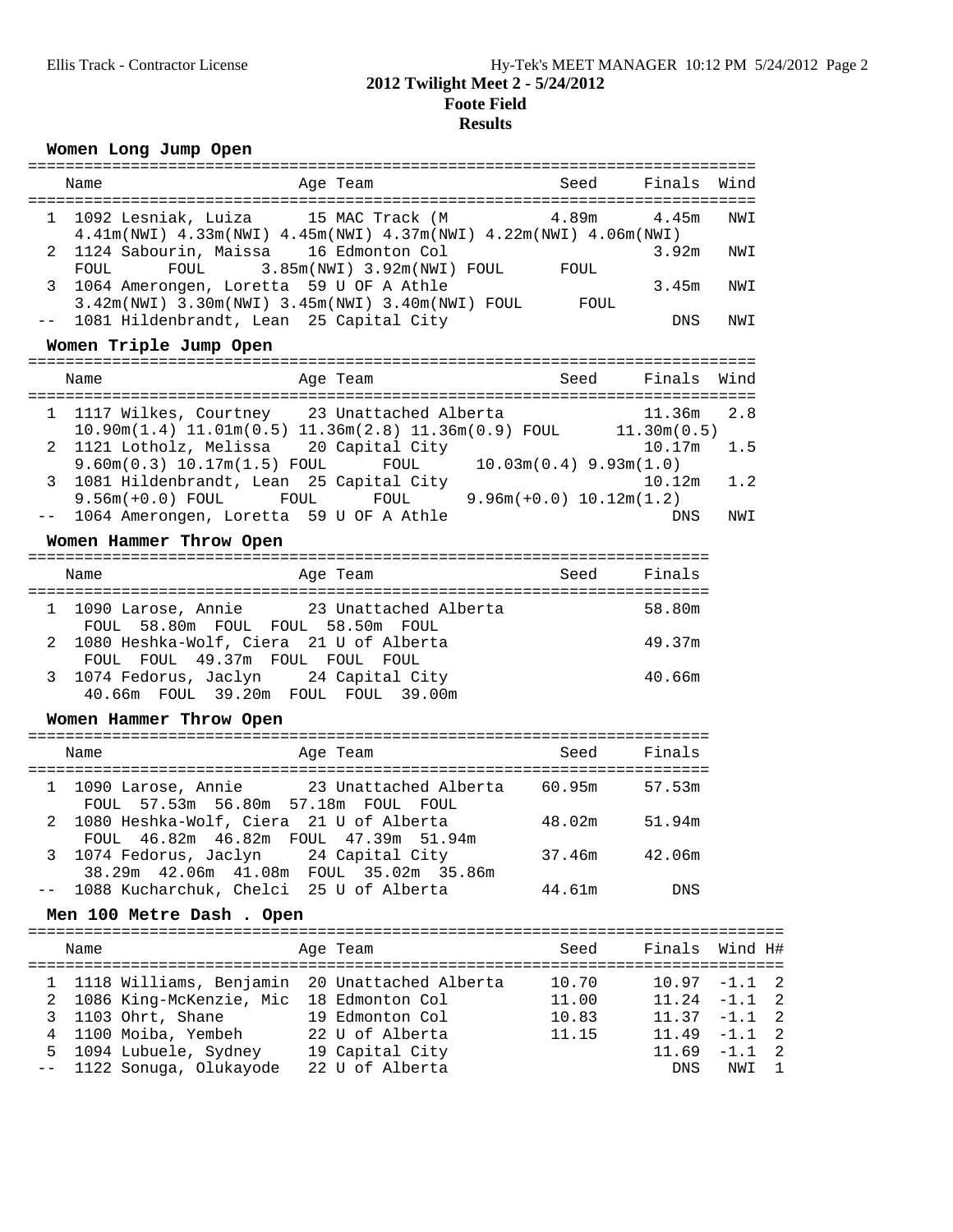## **Women Long Jump Open**

|              | Name                                                                                                                    | Age Team                                                                                                                         | seed Seed and Seed and Seed and Seed and Seed and Security Articles and Security Articles and Security Article | Finals Wind    |                                                      |
|--------------|-------------------------------------------------------------------------------------------------------------------------|----------------------------------------------------------------------------------------------------------------------------------|----------------------------------------------------------------------------------------------------------------|----------------|------------------------------------------------------|
| $\mathbf{1}$ |                                                                                                                         | 1092 Lesniak, Luiza 15 MAC Track (M<br>4.41m(NWI) 4.33m(NWI) 4.45m(NWI) 4.37m(NWI) 4.22m(NWI) 4.06m(NWI)                         | 4.89m                                                                                                          | 4.45m          | NWI                                                  |
| 2            | 1124 Sabourin, Maissa 16 Edmonton Col<br>FOUL                                                                           | FOUL 3.85m(NWI) 3.92m(NWI) FOUL FOUL                                                                                             |                                                                                                                | 3.92m          | NWI                                                  |
| 3            | 1064 Amerongen, Loretta 59 U OF A Athle                                                                                 | 3.42m(NWI) 3.30m(NWI) 3.45m(NWI) 3.40m(NWI) FOUL FOUL                                                                            |                                                                                                                | 3.45m          | NWI                                                  |
| $ -$         | 1081 Hildenbrandt, Lean 25 Capital City<br>Women Triple Jump Open                                                       |                                                                                                                                  |                                                                                                                | DNS            | NWI                                                  |
|              |                                                                                                                         |                                                                                                                                  |                                                                                                                |                |                                                      |
|              | Name                                                                                                                    | Age Team                                                                                                                         | Seed                                                                                                           | Finals         | Wind                                                 |
|              |                                                                                                                         | 1 1117 Wilkes, Courtney 23 Unattached Alberta<br>10.90m(1.4) 11.01m(0.5) 11.36m(2.8) 11.36m(0.9) FOUL 11.30m(0.5)                |                                                                                                                | 11.36m         | 2.8                                                  |
| 2            | 1121 Lotholz, Melissa 20 Capital City                                                                                   |                                                                                                                                  |                                                                                                                | 10.17m         | 1.5                                                  |
| 3            | $9.60m(0.3) 10.17m(1.5)$ FOUL<br>1081 Hildenbrandt, Lean 25 Capital City                                                | FOUL                                                                                                                             | $10.03m(0.4)$ 9.93m(1.0)                                                                                       | 10.12m         | 1.2                                                  |
|              | 1064 Amerongen, Loretta 59 U OF A Athle                                                                                 | $9.56m(+0.0) \text{ FOUL} \hspace{1.5cm} \text{FOUL} \hspace{1.5cm} \text{FOUL} \hspace{1.5cm} 9.96m(+0.0) \text{ } 10.12m(1.2)$ |                                                                                                                | DNS            | NWI                                                  |
|              | Women Hammer Throw Open                                                                                                 |                                                                                                                                  |                                                                                                                |                |                                                      |
|              | Name                                                                                                                    | Age Team                                                                                                                         | Seed                                                                                                           | Finals         |                                                      |
|              |                                                                                                                         |                                                                                                                                  |                                                                                                                |                |                                                      |
|              | FOUL 58.80m FOUL FOUL 58.50m FOUL                                                                                       | 1 1090 Larose, Annie 23 Unattached Alberta                                                                                       |                                                                                                                | 58.80m         |                                                      |
| 2            | 1080 Heshka-Wolf, Ciera 21 U of Alberta<br>FOUL FOUL 49.37m FOUL FOUL FOUL                                              |                                                                                                                                  |                                                                                                                | 49.37m         |                                                      |
| 3            | 1074 Fedorus, Jaclyn 24 Capital City<br>40.66m FOUL 39.20m FOUL FOUL 39.00m                                             |                                                                                                                                  |                                                                                                                | 40.66m         |                                                      |
|              | Women Hammer Throw Open                                                                                                 |                                                                                                                                  |                                                                                                                |                |                                                      |
|              | Name                                                                                                                    | Age Team                                                                                                                         | Seed                                                                                                           | Finals         |                                                      |
| $\mathbf{1}$ |                                                                                                                         | 1090 Larose, Annie 23 Unattached Alberta 60.95m                                                                                  |                                                                                                                | 57.53m         |                                                      |
| 2            | FOUL 57.53m 56.80m 57.18m FOUL FOUL<br>1080 Heshka-Wolf, Ciera 21 U of Alberta<br>FOUL 46.82m 46.82m FOUL 47.39m 51.94m |                                                                                                                                  | 48.02m                                                                                                         | 51.94m         |                                                      |
|              | 3 1074 Fedorus, Jaclyn 24 Capital City                                                                                  |                                                                                                                                  | 37.46m                                                                                                         | 42.06m         |                                                      |
| $- -$        | 38.29m  42.06m  41.08m  FOUL  35.02m  35.86m<br>1088 Kucharchuk, Chelci 25 U of Alberta                                 |                                                                                                                                  | 44.61m                                                                                                         | DNS            |                                                      |
|              | Men 100 Metre Dash. Open                                                                                                |                                                                                                                                  |                                                                                                                |                |                                                      |
|              | Name                                                                                                                    | Age Team                                                                                                                         | Seed                                                                                                           | Finals         | Wind H#                                              |
| ı            | 1118 Williams, Benjamin                                                                                                 | 20 Unattached Alberta                                                                                                            | 10.70                                                                                                          | 10.97          | $-1.1$<br>$\overline{c}$                             |
| 2            | 1086 King-McKenzie, Mic 18 Edmonton Col                                                                                 |                                                                                                                                  | 11.00                                                                                                          | 11.24          | $-1.1$ 2                                             |
| 3<br>4       | 1103 Ohrt, Shane<br>1100 Moiba, Yembeh                                                                                  | 19 Edmonton Col<br>22 U of Alberta                                                                                               | 10.83<br>11.15                                                                                                 | 11.37<br>11.49 | $-1.1$<br>$\overline{2}$<br>$-1.1$<br>$\overline{c}$ |
| 5            | 1094 Lubuele, Sydney                                                                                                    | 19 Capital City                                                                                                                  |                                                                                                                | 11.69          | $\overline{2}$<br>$-1.1$                             |
| $ -$         | 1122 Sonuga, Olukayode                                                                                                  | 22 U of Alberta                                                                                                                  |                                                                                                                | DNS            | NWI<br>1                                             |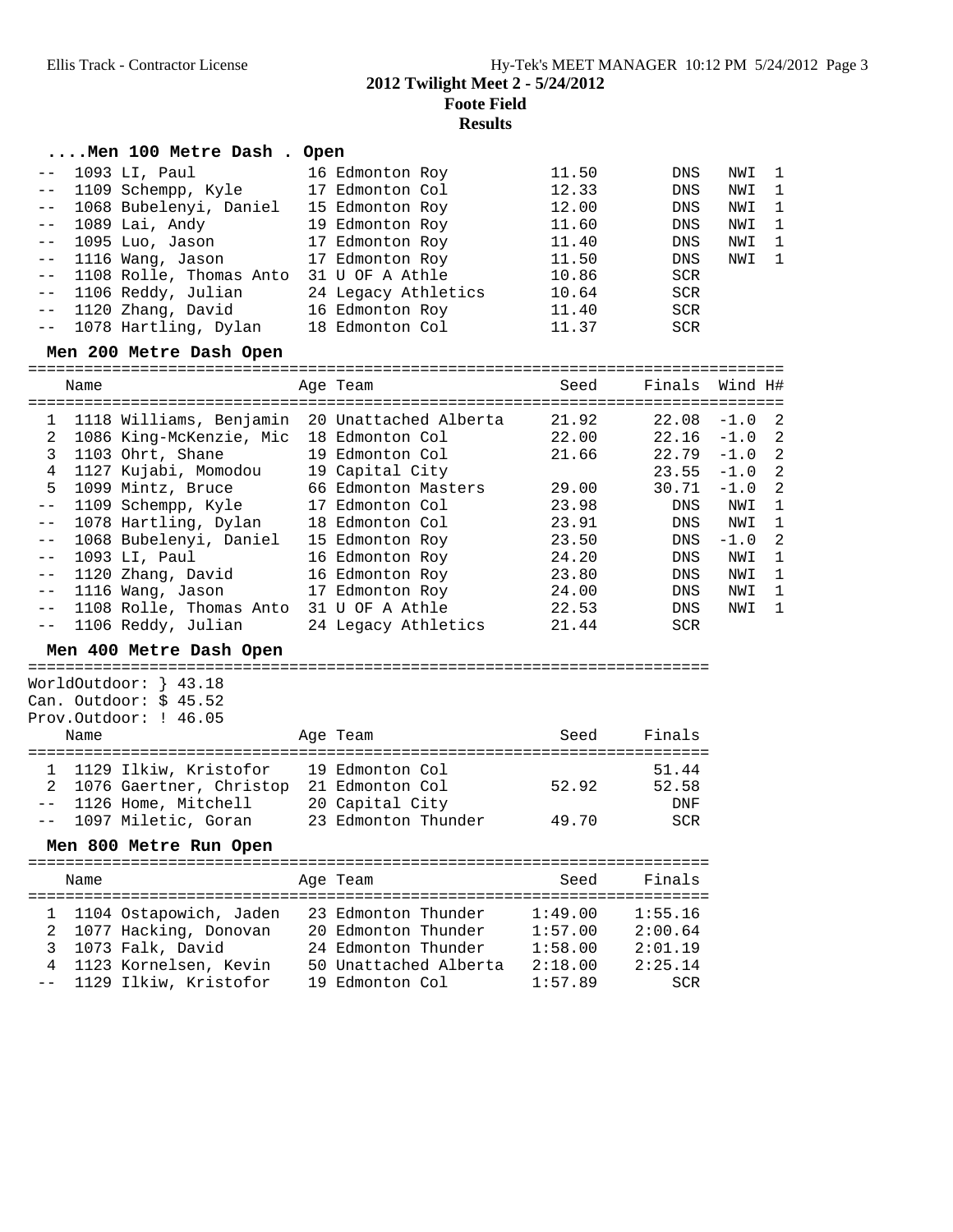### **2012 Twilight Meet 2 - 5/24/2012**

**Foote Field**

**Results**

#### **....Men 100 Metre Dash . Open**

| -- 1093 LI, Paul                     | 16 Edmonton Roy     | 11.50 | <b>DNS</b> | NWI 1 |              |
|--------------------------------------|---------------------|-------|------------|-------|--------------|
| -- 1109 Schempp, Kyle                | 17 Edmonton Col     | 12.33 | <b>DNS</b> | NWI   | $\mathbf{1}$ |
| -- 1068 Bubelenyi, Daniel            | 15 Edmonton Roy     | 12.00 | DNS        | NWI   | $\mathbf{1}$ |
| -- 1089 Lai, Andy                    | 19 Edmonton Roy     | 11.60 | <b>DNS</b> | NWI   | $\mathbf{1}$ |
| -- 1095 Luo, Jason                   | 17 Edmonton Roy     | 11.40 | <b>DNS</b> | NWI   | - 1          |
| -- 1116 Wang, Jason                  | 17 Edmonton Roy     | 11.50 | DNS        | NWI   | $\mathbf{1}$ |
| -- 1108 Rolle, Thomas Anto           | 31 U OF A Athle     | 10.86 | SCR        |       |              |
| -- 1106 Reddy, Julian                | 24 Legacy Athletics | 10.64 | <b>SCR</b> |       |              |
| -- 1120 Zhang, David 16 Edmonton Roy |                     | 11.40 | SCR        |       |              |
| -- 1078 Hartling, Dylan              | 18 Edmonton Col     | 11.37 | <b>SCR</b> |       |              |

#### **Men 200 Metre Dash Open**

|              | Name |                         | Age Team              | Seed  | Finals     | Wind H#  |                          |
|--------------|------|-------------------------|-----------------------|-------|------------|----------|--------------------------|
| $\mathbf{1}$ |      | 1118 Williams, Benjamin | 20 Unattached Alberta | 21.92 | 22.08      | $-1.0$ 2 |                          |
| 2            |      | 1086 King-McKenzie, Mic | 18 Edmonton Col       | 22.00 | 22.16      | $-1.0$ 2 |                          |
| 3            |      | 1103 Ohrt, Shane        | 19 Edmonton Col       | 21.66 | 22.79      | $-1.0$ 2 |                          |
| 4            |      | 1127 Kujabi, Momodou    | 19 Capital City       |       | 23.55      | $-1.0$ 2 |                          |
| 5.           |      | 1099 Mintz, Bruce       | 66 Edmonton Masters   | 29.00 | 30.71      | $-1.0$ 2 |                          |
|              |      | 1109 Schempp, Kyle      | 17 Edmonton Col       | 23.98 | DNS        | NWI      | $\overline{\phantom{0}}$ |
| $- -$        |      | 1078 Hartling, Dylan    | 18 Edmonton Col       | 23.91 | DNS        | NWI      | 1                        |
|              |      | 1068 Bubelenyi, Daniel  | 15 Edmonton Roy       | 23.50 | DNS        | $-1.0$   | -2                       |
|              |      | 1093 LI, Paul           | 16 Edmonton Roy       | 24.20 | DNS        | NWI      | -1                       |
|              |      | 1120 Zhang, David       | 16 Edmonton Roy       | 23.80 | DNS        | NWI      | $\mathbf{1}$             |
|              |      | 1116 Wang, Jason        | 17 Edmonton Roy       | 24.00 | DNS        | NWI      | -1                       |
|              |      | 1108 Rolle, Thomas Anto | 31 U OF A Athle       | 22.53 | DNS        | NWI      | -1                       |
|              |      | -- 1106 Reddy, Julian   | 24 Legacy Athletics   | 21.44 | <b>SCR</b> |          |                          |

### **Men 400 Metre Dash Open**

========================================================================= WorldOutdoor: } 43.18 Can. Outdoor: \$ 45.52 Prov.Outdoor: ! 46.05 Name Name Age Team Seed Finals ========================================================================= 1 1129 Ilkiw, Kristofor 19 Edmonton Col 51.44 2 1076 Gaertner, Christop 21 Edmonton Col 52.92 52.58 -- 1126 Home, Mitchell 20 Capital City DNF -- 1097 Miletic, Goran 23 Edmonton Thunder 49.70 SCR

#### **Men 800 Metre Run Open**

|  | Name |                          |  | Age Team              | Seed    | Finals  |  |  |
|--|------|--------------------------|--|-----------------------|---------|---------|--|--|
|  |      |                          |  |                       |         |         |  |  |
|  |      | 1 1104 Ostapowich, Jaden |  | 23 Edmonton Thunder   | 1:49.00 | 1:55.16 |  |  |
|  |      | 2 1077 Hacking, Donovan  |  | 20 Edmonton Thunder   | 1:57.00 | 2:00.64 |  |  |
|  |      | 3 1073 Falk, David       |  | 24 Edmonton Thunder   | 1:58.00 | 2:01.19 |  |  |
|  |      | 4 1123 Kornelsen, Kevin  |  | 50 Unattached Alberta | 2:18.00 | 2:25.14 |  |  |
|  |      | -- 1129 Ilkiw, Kristofor |  | 19 Edmonton Col       | 1:57.89 | SCR     |  |  |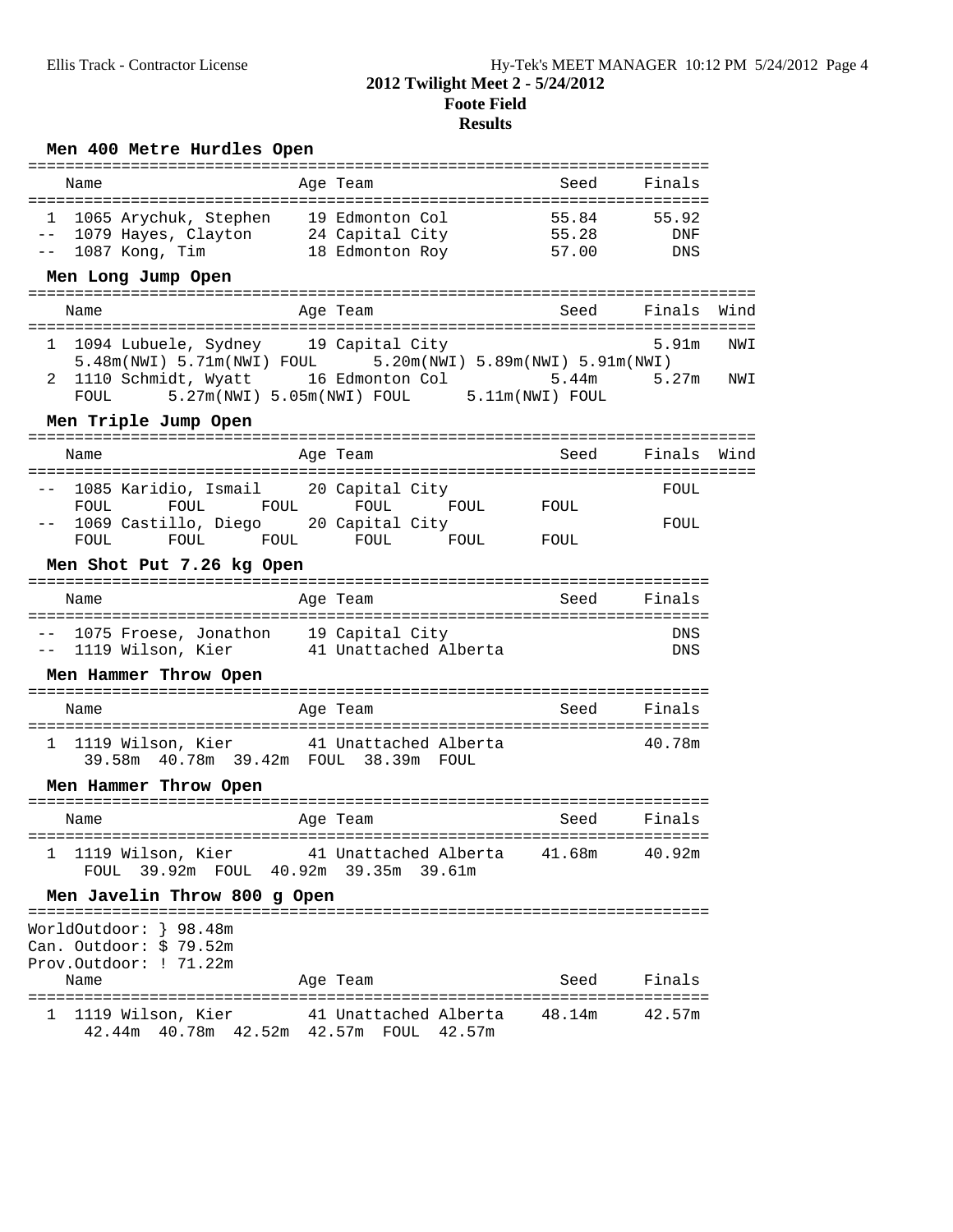# **Men 400 Metre Hurdles Open**

| Name                                                                                                                                                                                                                         | Age Team                                                       | Seed Finals      |              |            |
|------------------------------------------------------------------------------------------------------------------------------------------------------------------------------------------------------------------------------|----------------------------------------------------------------|------------------|--------------|------------|
| 1 1065 Arychuk, Stephen 19 Edmonton Col 55.84 55.92<br>-- 1079 Hayes, Clayton 24 Capital City 55.28 DNF<br>Men Long Jump Open                                                                                                |                                                                |                  | DNS          |            |
| Name                                                                                                                                                                                                                         | Age Team                                                       | Seed Finals      |              | Wind       |
| 1 1094 Lubuele, Sydney 19 Capital City<br>$5.48$ m(NWI) $5.71$ m(NWI) FOUL $5.20$ m(NWI) $5.89$ m(NWI) $5.91$ m(NWI)<br>2 1110 Schmidt, Wyatt 16 Edmonton Col 5.44m 5.27m<br>FOUL 5.27m(NWI) 5.05m(NWI) FOUL 5.11m(NWI) FOUL |                                                                |                  | 5.91m        | NWI<br>NWI |
| Men Triple Jump Open                                                                                                                                                                                                         |                                                                |                  |              |            |
| Name                                                                                                                                                                                                                         | Age Team                                                       | Seed Finals Wind |              |            |
| 1085 Karidio, Ismail 20 Capital City<br>FOUL<br>1069 Castillo, Diego 20 Capital City<br>FOUL                                                                                                                                 | FOUL FOUL FOUL FOUL FOUL FOUL<br>FOUL FOUL FOUL FOUL FOUL FOUL |                  | FOUL<br>FOUL |            |
| Men Shot Put 7.26 kg Open                                                                                                                                                                                                    |                                                                |                  |              |            |
| Name                                                                                                                                                                                                                         | Age Team                                                       |                  | Seed Finals  |            |
| -- 1075 Froese, Jonathon 19 Capital City<br>-- 1119 Wilson, Kier 41 Unattached Alberta                                                                                                                                       |                                                                |                  | DNS<br>DNS   |            |
| Men Hammer Throw Open                                                                                                                                                                                                        |                                                                |                  |              |            |
| Name                                                                                                                                                                                                                         | Age Team                                                       |                  | Seed Finals  |            |
| 1 1119 Wilson, Kier 41 Unattached Alberta<br>39.58m  40.78m  39.42m  FOUL  38.39m  FOUL                                                                                                                                      |                                                                |                  | 40.78m       |            |
| Men Hammer Throw Open                                                                                                                                                                                                        |                                                                |                  |              |            |
| Name                                                                                                                                                                                                                         | Age Team                                                       | Seed Finals      |              |            |
| 1 1119 Wilson, Kier and Unattached Alberta and 40.92m<br>FOUL 39.92m FOUL 40.92m 39.35m 39.61m                                                                                                                               |                                                                |                  |              |            |
| Men Javelin Throw 800 g Open                                                                                                                                                                                                 |                                                                |                  |              |            |
| WorldOutdoor: } 98.48m<br>Can. Outdoor: $$79.52m$<br>Prov.Outdoor: ! 71.22m<br>Name                                                                                                                                          | Age Team                                                       | Seed             | Finals       |            |
| 1 1119 Wilson, Kier 41 Unattached Alberta 48.14m                                                                                                                                                                             |                                                                |                  | 42.57m       |            |
| 42.44m  40.78m  42.52m  42.57m  FOUL  42.57m                                                                                                                                                                                 |                                                                |                  |              |            |